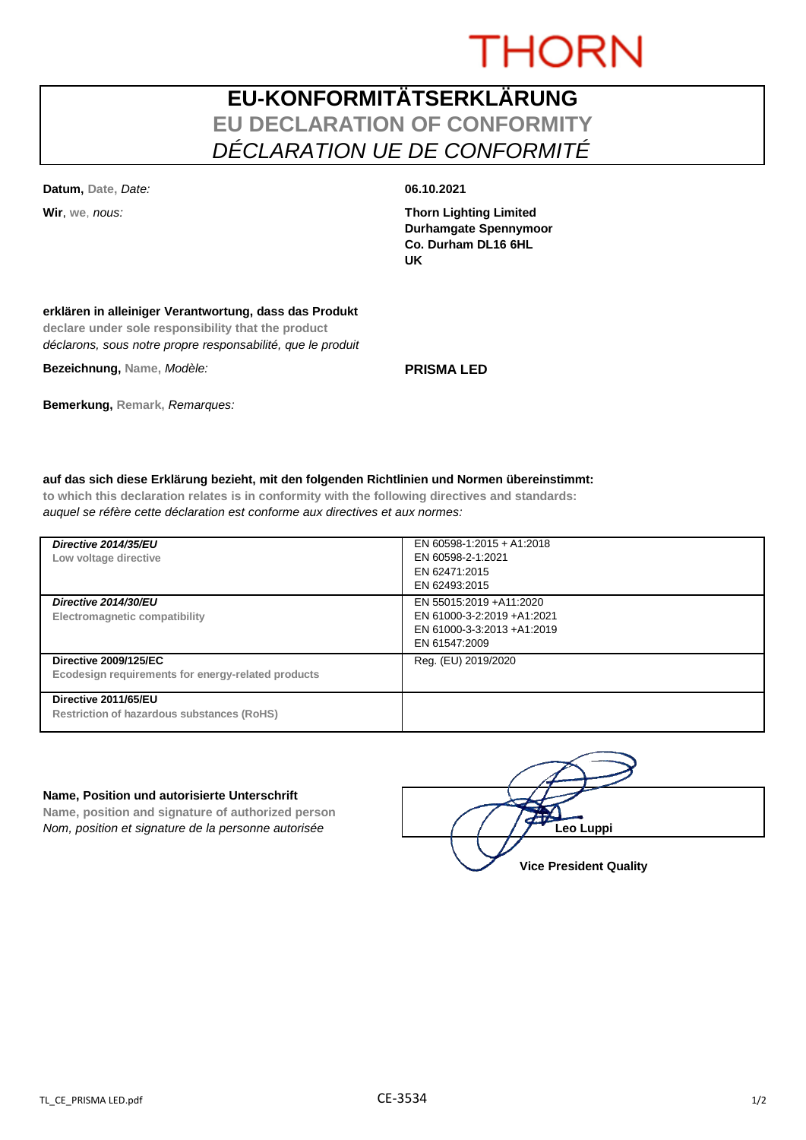# **THORN**

## **EU-KONFORMITÄTSERKLÄRUNG EU DECLARATION OF CONFORMITY** *DÉCLARATION UE DE CONFORMITÉ*

**Datum, Date,** *Date:* **06.10.2021**

**Wir**, **we**, *nous:* **Thorn Lighting Limited Durhamgate Spennymoor Co. Durham DL16 6HL UK**

### **erklären in alleiniger Verantwortung, dass das Produkt**

**declare under sole responsibility that the product** *déclarons, sous notre propre responsabilité, que le produit*

**Bezeichnung, Name,** *Modèle:* **PRISMA LED**

## **Bemerkung, Remark,** *Remarques:*

### **auf das sich diese Erklärung bezieht, mit den folgenden Richtlinien und Normen übereinstimmt:**

**to which this declaration relates is in conformity with the following directives and standards:** *auquel se réfère cette déclaration est conforme aux directives et aux normes:*

| Directive 2014/35/EU<br>Low voltage directive                                      | EN 60598-1:2015 + A1:2018<br>EN 60598-2-1:2021<br>EN 62471:2015<br>EN 62493:2015                      |
|------------------------------------------------------------------------------------|-------------------------------------------------------------------------------------------------------|
| Directive 2014/30/EU<br>Electromagnetic compatibility                              | EN 55015:2019 + A11:2020<br>EN 61000-3-2:2019 +A1:2021<br>EN 61000-3-3:2013 +A1:2019<br>EN 61547:2009 |
| <b>Directive 2009/125/EC</b><br>Ecodesign requirements for energy-related products | Reg. (EU) 2019/2020                                                                                   |
| Directive 2011/65/EU<br><b>Restriction of hazardous substances (RoHS)</b>          |                                                                                                       |

### **Name, Position und autorisierte Unterschrift**

**Name, position and signature of authorized person** *Nom, position et signature de la personne autorisée*  $\left( \begin{array}{cc} \end{array} \right)$   $\left( \begin{array}{cc} \end{array} \right)$ **Leo Luppi** 

**Vice President Quality**